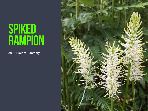## SPIKED RAMPION

2018 Project Summary

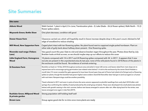## **Site Summaries**

| <b>Site name</b>                                         |                                                                                                                                                                                                                                                                                                                                                                                                                                                                                                                                                                                                                                                                                                                                                                                                                                                                                                                                                                                                                                                          |  |  |  |  |  |
|----------------------------------------------------------|----------------------------------------------------------------------------------------------------------------------------------------------------------------------------------------------------------------------------------------------------------------------------------------------------------------------------------------------------------------------------------------------------------------------------------------------------------------------------------------------------------------------------------------------------------------------------------------------------------------------------------------------------------------------------------------------------------------------------------------------------------------------------------------------------------------------------------------------------------------------------------------------------------------------------------------------------------------------------------------------------------------------------------------------------------|--|--|--|--|--|
| <b>Abbots Wood</b>                                       | Walk Central- 1 plant in April, 0 in June; Translocation plots - 0; Lake Glade - 26 (6 flower spikes); Walk North - 15 (3<br>flower spikes eaten).                                                                                                                                                                                                                                                                                                                                                                                                                                                                                                                                                                                                                                                                                                                                                                                                                                                                                                       |  |  |  |  |  |
| <b>Maynards Green; Bottle Shaw</b>                       | One plant decrease, condition still good                                                                                                                                                                                                                                                                                                                                                                                                                                                                                                                                                                                                                                                                                                                                                                                                                                                                                                                                                                                                                 |  |  |  |  |  |
| <b>Dower House Farm</b>                                  | Clearance carried out, which will hopefully result in future inscreae despite drop in this year's count. Advised to fell<br>edge of woodland to reduce shading                                                                                                                                                                                                                                                                                                                                                                                                                                                                                                                                                                                                                                                                                                                                                                                                                                                                                           |  |  |  |  |  |
| <b>Mill Wood, New Sapperton Farm</b>                     | Caged plant intact with ten flowering spikes. No plant found next to coppiced single-poled hornbeam. Plant on<br>other side of gully bank about halfway down present. One flowering spike.                                                                                                                                                                                                                                                                                                                                                                                                                                                                                                                                                                                                                                                                                                                                                                                                                                                               |  |  |  |  |  |
| <b>Riverside road verge (Tinkers</b><br>Lane)            | Very good count this year. Kate to visit and observe bracken regen throughout the year. Photos show that by July<br>Bracken looks at thick as ever, so we should maybe step up our efforts to reduce the cover                                                                                                                                                                                                                                                                                                                                                                                                                                                                                                                                                                                                                                                                                                                                                                                                                                           |  |  |  |  |  |
| <b>Little England Farm; Homegrove</b><br><b>Wood</b>     | 10 plants compared with 14 in 2017 and 24 flowering spikes compared with 34 in 2017. It appears that 3 new<br>recruits are present in the unprotected area.As last year, none of the wild plants found in 2018.None of the plants in<br>the exclosure could be found. No evidence of animals entering.                                                                                                                                                                                                                                                                                                                                                                                                                                                                                                                                                                                                                                                                                                                                                   |  |  |  |  |  |
| <b>St Dunstans Farm</b>                                  | Bramble cut back on 10 Dec 2018 throughout exclosure area and piled in lower left corner, and leaves raked from main slope etc to<br>expose bare soil to encourage spring germination (see related notes below)*. A visit to the exclosure by the owner David Hobden a<br>month later (13 June), revealed the gate appeared to have been forced open (top part of frame had rotted at its fixings) and no flowering<br>spikes (or plants, though the bramble had grown higher) were evident. David felt that either deer had got in (and out again) or a human<br>with mal intent. Rampant slugs could be another possibility.<br>*Seed collected in 2017 and sown in pots at home the same autumn appeared as plentiful seedlings from early April 2018 (after cold<br>spring), thus confirming the viability of seed produced by this small group of plants. These soon developed into small plants (see photo)<br>below) with growth ceasing in the mid- summer, before new leaves emerged in autumn after rain. After dying back for the winter, new |  |  |  |  |  |
|                                                          | leaves emerged once again in late Feb (2019).                                                                                                                                                                                                                                                                                                                                                                                                                                                                                                                                                                                                                                                                                                                                                                                                                                                                                                                                                                                                            |  |  |  |  |  |
| <b>Rushlake Green; Millpond Wood</b><br>& private garden | Strong population still holding itself well                                                                                                                                                                                                                                                                                                                                                                                                                                                                                                                                                                                                                                                                                                                                                                                                                                                                                                                                                                                                              |  |  |  |  |  |
| <b>Brown Lane</b>                                        | Group agree good site for re-intro once more plants are ready                                                                                                                                                                                                                                                                                                                                                                                                                                                                                                                                                                                                                                                                                                                                                                                                                                                                                                                                                                                            |  |  |  |  |  |